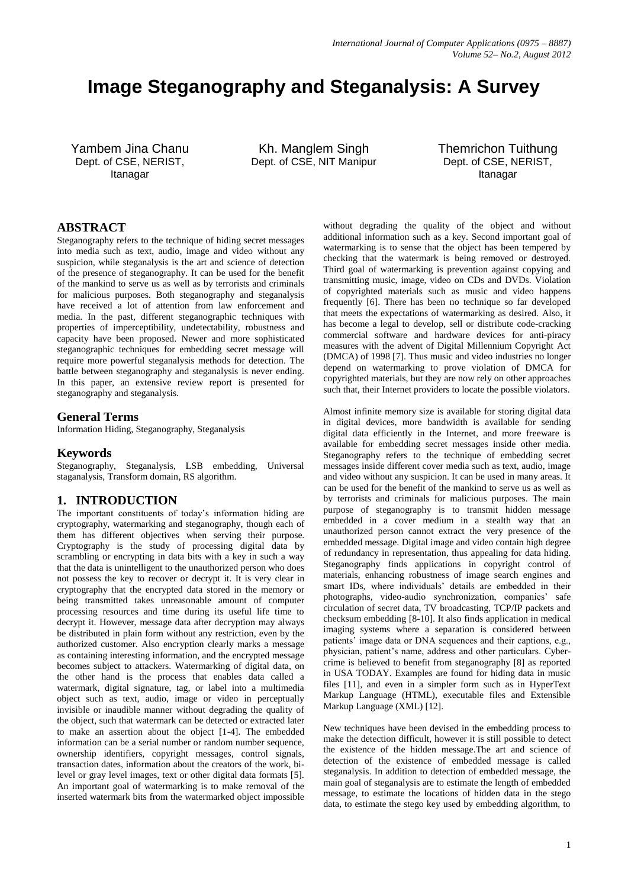# **Image Steganography and Steganalysis: A Survey**

Yambem Jina Chanu Dept. of CSE, NERIST, Itanagar

Kh. Manglem Singh Dept. of CSE, NIT Manipur Themrichon Tuithung Dept. of CSE, NERIST, Itanagar

## **ABSTRACT**

Steganography refers to the technique of hiding secret messages into media such as text, audio, image and video without any suspicion, while steganalysis is the art and science of detection of the presence of steganography. It can be used for the benefit of the mankind to serve us as well as by terrorists and criminals for malicious purposes. Both steganography and steganalysis have received a lot of attention from law enforcement and media. In the past, different steganographic techniques with properties of imperceptibility, undetectability, robustness and capacity have been proposed. Newer and more sophisticated steganographic techniques for embedding secret message will require more powerful steganalysis methods for detection. The battle between steganography and steganalysis is never ending. In this paper, an extensive review report is presented for steganography and steganalysis.

#### **General Terms**

Information Hiding, Steganography, Steganalysis

#### **Keywords**

Steganography, Steganalysis, LSB embedding, Universal staganalysis, Transform domain, RS algorithm.

#### **1. INTRODUCTION**

The important constituents of today's information hiding are cryptography, watermarking and steganography, though each of them has different objectives when serving their purpose. Cryptography is the study of processing digital data by scrambling or encrypting in data bits with a key in such a way that the data is unintelligent to the unauthorized person who does not possess the key to recover or decrypt it. It is very clear in cryptography that the encrypted data stored in the memory or being transmitted takes unreasonable amount of computer processing resources and time during its useful life time to decrypt it. However, message data after decryption may always be distributed in plain form without any restriction, even by the authorized customer. Also encryption clearly marks a message as containing interesting information, and the encrypted message becomes subject to attackers. Watermarking of digital data, on the other hand is the process that enables data called a watermark, digital signature, tag, or label into a multimedia object such as text, audio, image or video in perceptually invisible or inaudible manner without degrading the quality of the object, such that watermark can be detected or extracted later to make an assertion about the object [1-4]. The embedded information can be a serial number or random number sequence, ownership identifiers, copyright messages, control signals, transaction dates, information about the creators of the work, bilevel or gray level images, text or other digital data formats [5]. An important goal of watermarking is to make removal of the inserted watermark bits from the watermarked object impossible

without degrading the quality of the object and without additional information such as a key. Second important goal of watermarking is to sense that the object has been tempered by checking that the watermark is being removed or destroyed. Third goal of watermarking is prevention against copying and transmitting music, image, video on CDs and DVDs. Violation of copyrighted materials such as music and video happens frequently [6]. There has been no technique so far developed that meets the expectations of watermarking as desired. Also, it has become a legal to develop, sell or distribute code-cracking commercial software and hardware devices for anti-piracy measures with the advent of Digital Millennium Copyright Act (DMCA) of 1998 [7]. Thus music and video industries no longer depend on watermarking to prove violation of DMCA for copyrighted materials, but they are now rely on other approaches such that, their Internet providers to locate the possible violators.

Almost infinite memory size is available for storing digital data in digital devices, more bandwidth is available for sending digital data efficiently in the Internet, and more freeware is available for embedding secret messages inside other media. Steganography refers to the technique of embedding secret messages inside different cover media such as text, audio, image and video without any suspicion. It can be used in many areas. It can be used for the benefit of the mankind to serve us as well as by terrorists and criminals for malicious purposes. The main purpose of steganography is to transmit hidden message embedded in a cover medium in a stealth way that an unauthorized person cannot extract the very presence of the embedded message. Digital image and video contain high degree of redundancy in representation, thus appealing for data hiding. Steganography finds applications in copyright control of materials, enhancing robustness of image search engines and smart IDs, where individuals' details are embedded in their photographs, video-audio synchronization, companies' safe circulation of secret data, TV broadcasting, TCP/IP packets and checksum embedding [8-10]. It also finds application in medical imaging systems where a separation is considered between patients' image data or DNA sequences and their captions, e.g., physician, patient's name, address and other particulars. Cybercrime is believed to benefit from steganography [8] as reported in USA TODAY. Examples are found for hiding data in music files [11], and even in a simpler form such as in HyperText Markup Language (HTML), executable files and Extensible Markup Language (XML) [12].

New techniques have been devised in the embedding process to make the detection difficult, however it is still possible to detect the existence of the hidden message.The art and science of detection of the existence of embedded message is called steganalysis. In addition to detection of embedded message, the main goal of steganalysis are to estimate the length of embedded message, to estimate the locations of hidden data in the stego data, to estimate the stego key used by embedding algorithm, to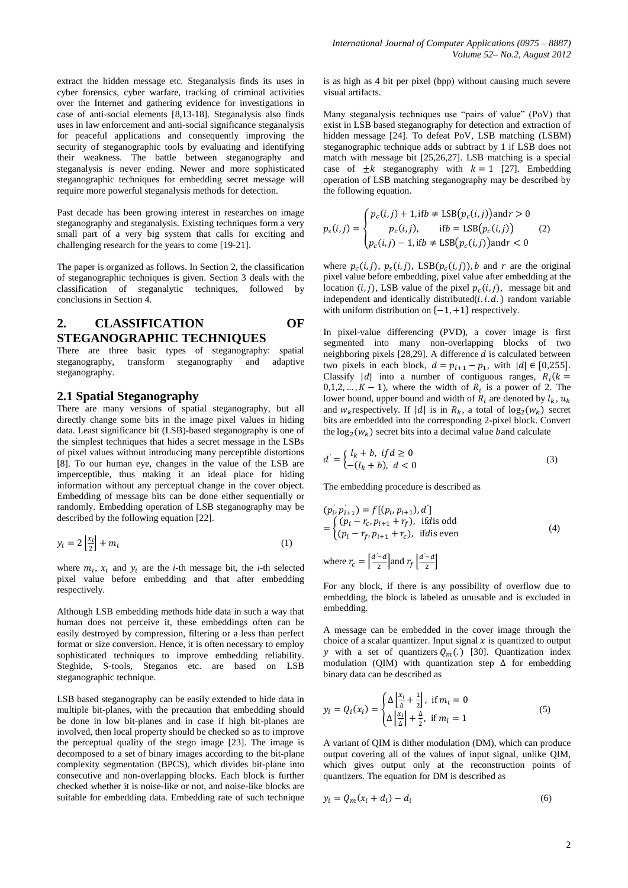extract the hidden message etc. Steganalysis finds its uses in cyber forensics, cyber warfare, tracking of criminal activities over the Internet and gathering evidence for investigations in case of anti-social elements [8,13-18]. Steganalysis also finds uses in law enforcement and anti-social significance steganalysis for peaceful applications and consequently improving the security of steganographic tools by evaluating and identifying their weakness. The battle between steganography and steganalysis is never ending. Newer and more sophisticated steganographic techniques for embedding secret message will require more powerful steganalysis methods for detection.

Past decade has been growing interest in researches on image steganography and steganalysis. Existing techniques form a very small part of a very big system that calls for exciting and challenging research for the years to come [19-21].

The paper is organized as follows. In Section 2, the classification of steganographic techniques is given. Section 3 deals with the classification of steganalytic techniques, followed by conclusions in Section 4.

## **2. CLASSIFICATION OF STEGANOGRAPHIC TECHNIQUES**

There are three basic types of steganography: spatial steganography, transform steganography and adaptive steganography.

#### **2.1 Spatial Steganography**

There are many versions of spatial steganography, but all directly change some bits in the image pixel values in hiding data. Least significance bit (LSB)-based steganography is one of the simplest techniques that hides a secret message in the LSBs of pixel values without introducing many perceptible distortions [8]. To our human eye, changes in the value of the LSB are imperceptible, thus making it an ideal place for hiding information without any perceptual change in the cover object. Embedding of message bits can be done either sequentially or randomly. Embedding operation of LSB steganography may be described by the following equation [22].

$$
y_i = 2\left\lfloor \frac{x_i}{2} \right\rfloor + m_i \tag{1}
$$

where  $m_i$ ,  $x_i$  and  $y_i$  are the *i*-th message bit, the *i*-th selected pixel value before embedding and that after embedding respectively.

Although LSB embedding methods hide data in such a way that human does not perceive it, these embeddings often can be easily destroyed by compression, filtering or a less than perfect format or size conversion. Hence, it is often necessary to employ sophisticated techniques to improve embedding reliability. Steghide, S-tools, Steganos etc. are based on LSB steganographic technique.

LSB based steganography can be easily extended to hide data in multiple bit-planes, with the precaution that embedding should be done in low bit-planes and in case if high bit-planes are involved, then local property should be checked so as to improve the perceptual quality of the stego image [23]. The image is decomposed to a set of binary images according to the bit-plane complexity segmentation (BPCS), which divides bit-plane into consecutive and non-overlapping blocks. Each block is further checked whether it is noise-like or not, and noise-like blocks are suitable for embedding data. Embedding rate of such technique is as high as 4 bit per pixel (bpp) without causing much severe visual artifacts.

Many steganalysis techniques use "pairs of value" (PoV) that exist in LSB based steganography for detection and extraction of hidden message [24]. To defeat PoV, LSB matching (LSBM) steganographic technique adds or subtract by 1 if LSB does not match with message bit [25,26,27]. LSB matching is a special case of  $\pm k$  steganography with  $k = 1$  [27]. Embedding operation of LSB matching steganography may be described by the following equation.

$$
p_s(i,j) = \begin{cases} p_c(i,j) + 1, \text{if } b \neq \text{LSB}(p_c(i,j)) \text{ and } r > 0 \\ p_c(i,j), \quad \text{if } b = \text{LSB}(p_c(i,j)) \\ p_c(i,j) - 1, \text{if } b \neq \text{LSB}(p_c(i,j)) \text{ and } r < 0 \end{cases} \tag{2}
$$

where  $p_c(i, j)$ ,  $p_s(i, j)$ , LSB $(p_c(i, j))$ , b and r are the original pixel value before embedding, pixel value after embedding at the location  $(i, j)$ , LSB value of the pixel  $p_c(i, j)$ , message bit and independent and identically distributed $(i, i, d)$  random variable with uniform distribution on  $\{-1, +1\}$  respectively.

In pixel-value differencing (PVD), a cover image is first segmented into many non-overlapping blocks of two neighboring pixels  $[28,29]$ . A difference *d* is calculated between two pixels in each block,  $d = p_{i+1} - p_1$ , with  $|d| \in [0,255]$ . Classify |d| into a number of contiguous ranges,  $R_i(k)$  $(0,1,2,..., K-1)$ , where the width of  $R_i$  is a power of 2. The lower bound, upper bound and width of  $R_i$  are denoted by  $l_k$ ,  $u_k$ and  $w_k$  respectively. If |d| is in  $R_k$ , a total of  $log_2(w_k)$  secret bits are embedded into the corresponding 2-pixel block. Convert the  $log_2(w_k)$  secret bits into a decimal value band calculate

$$
d' = \begin{cases} l_k + b, & \text{if } d \ge 0 \\ -(l_k + b), & \text{if } d < 0 \end{cases} \tag{3}
$$

The embedding procedure is described as

$$
(p'_{i}, p'_{i+1}) = f[(p_{i}, p_{i+1}), d']
$$
  
= { (p\_{i} - r\_{c}, p\_{i+1} + r\_{f}), ifdis odd  
 (p\_{i} - r\_{f}, p\_{i+1} + r\_{c}), ifdis even (4)

where 
$$
r_c = \left[\frac{d'-d}{2}\right]
$$
 and  $r_f \left[\frac{d'-d}{2}\right]$ 

For any block, if there is any possibility of overflow due to embedding, the block is labeled as unusable and is excluded in embedding.

A message can be embedded in the cover image through the choice of a scalar quantizer. Input signal  $x$  is quantized to output y with a set of quantizers  $Q_m(.)$  [30]. Quantization index modulation (QIM) with quantization step  $\Delta$  for embedding binary data can be described as

$$
y_i = Q_i(x_i) = \begin{cases} \Delta \left[ \frac{x_i}{\Delta} + \frac{1}{2} \right], & \text{if } m_i = 0\\ \Delta \left[ \frac{x_i}{\Delta} \right] + \frac{\Delta}{2}, & \text{if } m_i = 1 \end{cases}
$$
(5)

A variant of QIM is dither modulation (DM), which can produce output covering all of the values of input signal, unlike QIM, which gives output only at the reconstruction points of quantizers. The equation for DM is described as

$$
y_i = Q_m(x_i + d_i) - d_i \tag{6}
$$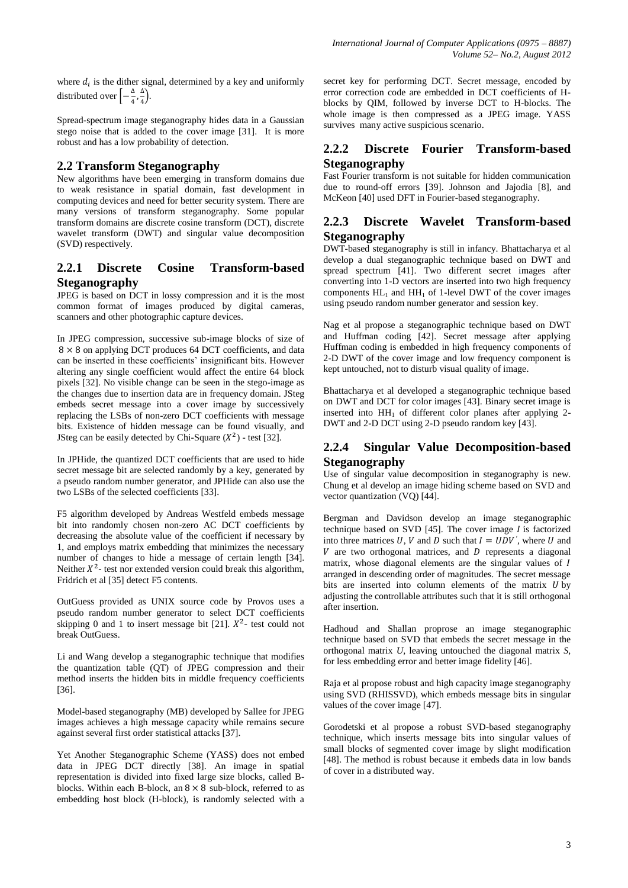where  $d_i$  is the dither signal, determined by a key and uniformly distributed over  $\left[-\frac{\Delta}{4}\right]$  $\frac{\Delta}{4}$ ,  $\frac{\Delta}{4}$  $\frac{4}{4}$ ).

Spread-spectrum image steganography hides data in a Gaussian stego noise that is added to the cover image [31]. It is more robust and has a low probability of detection.

#### **2.2 Transform Steganography**

New algorithms have been emerging in transform domains due to weak resistance in spatial domain, fast development in computing devices and need for better security system. There are many versions of transform steganography. Some popular transform domains are discrete cosine transform (DCT), discrete wavelet transform (DWT) and singular value decomposition (SVD) respectively.

#### **2.2.1 Discrete Cosine Transform-based Steganography**

JPEG is based on DCT in lossy compression and it is the most common format of images produced by digital cameras, scanners and other photographic capture devices.

In JPEG compression, successive sub-image blocks of size of  $8 \times 8$  on applying DCT produces 64 DCT coefficients, and data can be inserted in these coefficients' insignificant bits. However altering any single coefficient would affect the entire 64 block pixels [32]. No visible change can be seen in the stego-image as the changes due to insertion data are in frequency domain. JSteg embeds secret message into a cover image by successively replacing the LSBs of non-zero DCT coefficients with message bits. Existence of hidden message can be found visually, and JSteg can be easily detected by Chi-Square  $(X^2)$  - test [32].

In JPHide, the quantized DCT coefficients that are used to hide secret message bit are selected randomly by a key, generated by a pseudo random number generator, and JPHide can also use the two LSBs of the selected coefficients [33].

F5 algorithm developed by Andreas Westfeld embeds message bit into randomly chosen non-zero AC DCT coefficients by decreasing the absolute value of the coefficient if necessary by 1, and employs matrix embedding that minimizes the necessary number of changes to hide a message of certain length [34]. Neither  $X^2$ - test nor extended version could break this algorithm, Fridrich et al [35] detect F5 contents.

OutGuess provided as UNIX source code by Provos uses a pseudo random number generator to select DCT coefficients skipping 0 and 1 to insert message bit [21].  $X^2$ - test could not break OutGuess.

Li and Wang develop a steganographic technique that modifies the quantization table (QT) of JPEG compression and their method inserts the hidden bits in middle frequency coefficients [36].

Model-based steganography (MB) developed by Sallee for JPEG images achieves a high message capacity while remains secure against several first order statistical attacks [37].

Yet Another Steganographic Scheme (YASS) does not embed data in JPEG DCT directly [38]. An image in spatial representation is divided into fixed large size blocks, called Bblocks. Within each B-block, an  $8 \times 8$  sub-block, referred to as embedding host block (H-block), is randomly selected with a

secret key for performing DCT. Secret message, encoded by error correction code are embedded in DCT coefficients of Hblocks by QIM, followed by inverse DCT to H-blocks. The whole image is then compressed as a JPEG image. YASS survives many active suspicious scenario.

## **2.2.2 Discrete Fourier Transform-based Steganography**

Fast Fourier transform is not suitable for hidden communication due to round-off errors [39]. Johnson and Jajodia [8], and McKeon [40] used DFT in Fourier-based steganography.

## **2.2.3 Discrete Wavelet Transform-based Steganography**

DWT-based steganography is still in infancy. Bhattacharya et al develop a dual steganographic technique based on DWT and spread spectrum [41]. Two different secret images after converting into 1-D vectors are inserted into two high frequency components  $HL_1$  and  $HH_1$  of 1-level DWT of the cover images using pseudo random number generator and session key.

Nag et al propose a steganographic technique based on DWT and Huffman coding [42]. Secret message after applying Huffman coding is embedded in high frequency components of 2-D DWT of the cover image and low frequency component is kept untouched, not to disturb visual quality of image.

Bhattacharya et al developed a steganographic technique based on DWT and DCT for color images [43]. Binary secret image is inserted into HH<sub>1</sub> of different color planes after applying 2-DWT and 2-D DCT using 2-D pseudo random key [43].

## **2.2.4 Singular Value Decomposition-based Steganography**

Use of singular value decomposition in steganography is new. Chung et al develop an image hiding scheme based on SVD and vector quantization (VQ) [44].

Bergman and Davidson develop an image steganographic technique based on SVD  $[45]$ . The cover image *I* is factorized into three matrices U, V and D such that  $I = UDV'$ , where U and  $V$  are two orthogonal matrices, and  $D$  represents a diagonal matrix, whose diagonal elements are the singular values of I arranged in descending order of magnitudes. The secret message bits are inserted into column elements of the matrix  $U$  by adjusting the controllable attributes such that it is still orthogonal after insertion.

Hadhoud and Shallan proprose an image steganographic technique based on SVD that embeds the secret message in the orthogonal matrix *U*, leaving untouched the diagonal matrix *S*, for less embedding error and better image fidelity [46].

Raja et al propose robust and high capacity image steganography using SVD (RHISSVD), which embeds message bits in singular values of the cover image [47].

Gorodetski et al propose a robust SVD-based steganography technique, which inserts message bits into singular values of small blocks of segmented cover image by slight modification [48]. The method is robust because it embeds data in low bands of cover in a distributed way.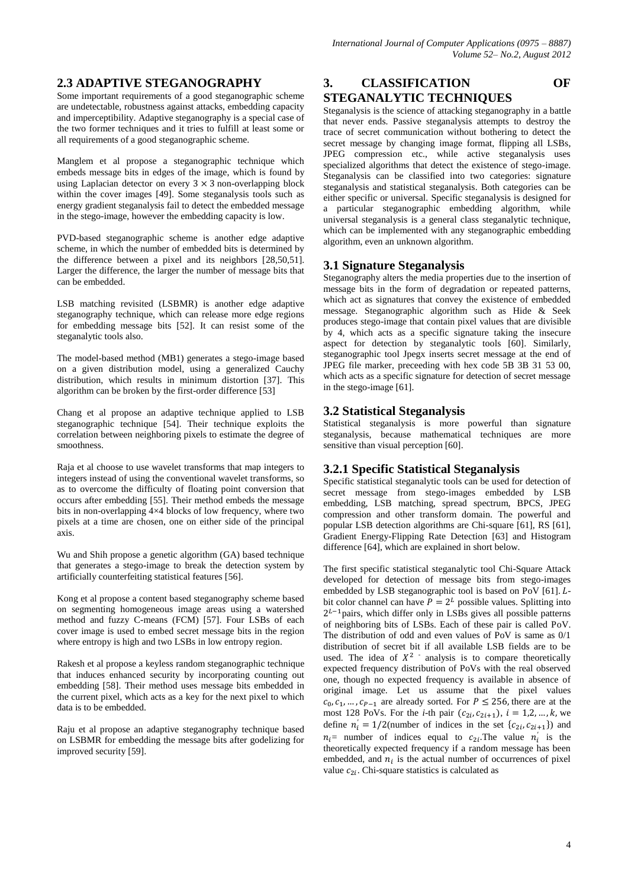# **2.3 ADAPTIVE STEGANOGRAPHY**

Some important requirements of a good steganographic scheme are undetectable, robustness against attacks, embedding capacity and imperceptibility. Adaptive steganography is a special case of the two former techniques and it tries to fulfill at least some or all requirements of a good steganographic scheme.

Manglem et al propose a steganographic technique which embeds message bits in edges of the image, which is found by using Laplacian detector on every  $3 \times 3$  non-overlapping block within the cover images [49]. Some steganalysis tools such as energy gradient steganalysis fail to detect the embedded message in the stego-image, however the embedding capacity is low.

PVD-based steganographic scheme is another edge adaptive scheme, in which the number of embedded bits is determined by the difference between a pixel and its neighbors [28,50,51]. Larger the difference, the larger the number of message bits that can be embedded.

LSB matching revisited (LSBMR) is another edge adaptive steganography technique, which can release more edge regions for embedding message bits [52]. It can resist some of the steganalytic tools also.

The model-based method (MB1) generates a stego-image based on a given distribution model, using a generalized Cauchy distribution, which results in minimum distortion [37]. This algorithm can be broken by the first-order difference [53]

Chang et al propose an adaptive technique applied to LSB steganographic technique [54]. Their technique exploits the correlation between neighboring pixels to estimate the degree of smoothness.

Raja et al choose to use wavelet transforms that map integers to integers instead of using the conventional wavelet transforms, so as to overcome the difficulty of floating point conversion that occurs after embedding [55]. Their method embeds the message bits in non-overlapping 4×4 blocks of low frequency, where two pixels at a time are chosen, one on either side of the principal axis.

Wu and Shih propose a genetic algorithm (GA) based technique that generates a stego-image to break the detection system by artificially counterfeiting statistical features [56].

Kong et al propose a content based steganography scheme based on segmenting homogeneous image areas using a watershed method and fuzzy C-means (FCM) [57]. Four LSBs of each cover image is used to embed secret message bits in the region where entropy is high and two LSBs in low entropy region.

Rakesh et al propose a keyless random steganographic technique that induces enhanced security by incorporating counting out embedding [58]. Their method uses message bits embedded in the current pixel, which acts as a key for the next pixel to which data is to be embedded.

Raju et al propose an adaptive steganography technique based on LSBMR for embedding the message bits after godelizing for improved security [59].

# **3. CLASSIFICATION OF STEGANALYTIC TECHNIQUES**

Steganalysis is the science of attacking steganography in a battle that never ends. Passive steganalysis attempts to destroy the trace of secret communication without bothering to detect the secret message by changing image format, flipping all LSBs, JPEG compression etc., while active steganalysis uses specialized algorithms that detect the existence of stego-image. Steganalysis can be classified into two categories: signature steganalysis and statistical steganalysis. Both categories can be either specific or universal. Specific steganalysis is designed for a particular steganographic embedding algorithm, while universal steganalysis is a general class steganalytic technique, which can be implemented with any steganographic embedding algorithm, even an unknown algorithm.

## **3.1 Signature Steganalysis**

Steganography alters the media properties due to the insertion of message bits in the form of degradation or repeated patterns, which act as signatures that convey the existence of embedded message. Steganographic algorithm such as Hide & Seek produces stego-image that contain pixel values that are divisible by 4, which acts as a specific signature taking the insecure aspect for detection by steganalytic tools [60]. Similarly, steganographic tool Jpegx inserts secret message at the end of JPEG file marker, preceeding with hex code 5B 3B 31 53 00, which acts as a specific signature for detection of secret message in the stego-image [61].

## **3.2 Statistical Steganalysis**

Statistical steganalysis is more powerful than signature steganalysis, because mathematical techniques are more sensitive than visual perception [60].

## **3.2.1 Specific Statistical Steganalysis**

Specific statistical steganalytic tools can be used for detection of secret message from stego-images embedded by LSB embedding, LSB matching, spread spectrum, BPCS, JPEG compression and other transform domain. The powerful and popular LSB detection algorithms are Chi-square [61], RS [61], Gradient Energy-Flipping Rate Detection [63] and Histogram difference [64], which are explained in short below.

The first specific statistical steganalytic tool Chi-Square Attack developed for detection of message bits from stego-images embedded by LSB steganographic tool is based on PoV  $[61]$ .  $L$ bit color channel can have  $P = 2^L$  possible values. Splitting into  $2^{L-1}$ pairs, which differ only in LSBs gives all possible patterns of neighboring bits of LSBs. Each of these pair is called PoV. The distribution of odd and even values of PoV is same as 0/1 distribution of secret bit if all available LSB fields are to be used. The idea of  $X^2$  analysis is to compare theoretically expected frequency distribution of PoVs with the real observed one, though no expected frequency is available in absence of original image. Let us assume that the pixel values  $c_0, c_1, ..., c_{p-1}$  are already sorted. For  $P \le 256$ , there are at the most 128 PoVs. For the *i*-th pair  $(c_{2i}, c_{2i+1}), i = 1, 2, ..., k$ , we define  $n'_i = 1/2$ (number of indices in the set  $\{c_{2i}, c_{2i+1}\}\)$  and  $n_i$  = number of indices equal to  $c_{2i}$ . The value  $n_i$  is the theoretically expected frequency if a random message has been embedded, and  $n_i$  is the actual number of occurrences of pixel value  $c_{2i}$ . Chi-square statistics is calculated as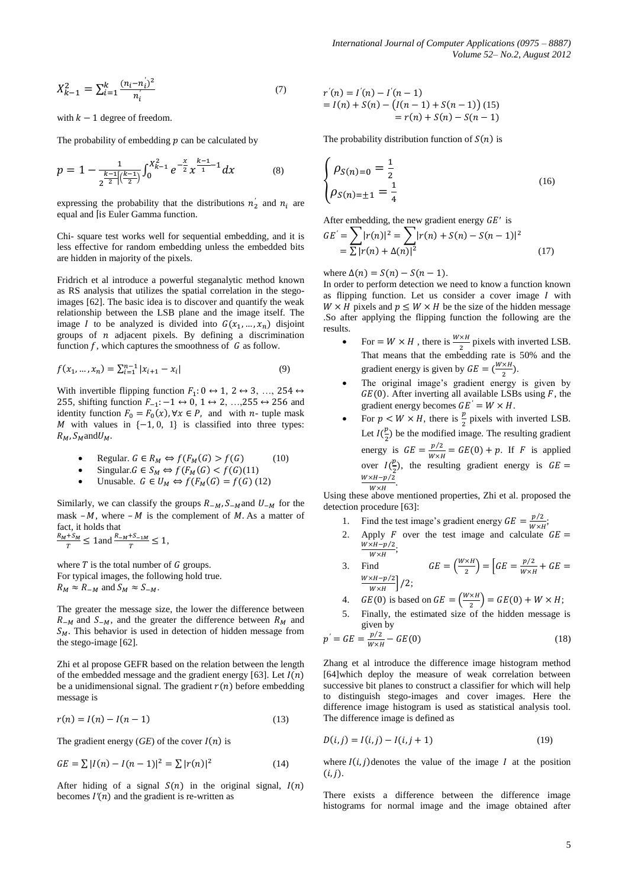$$
X_{k-1}^2 = \sum_{i=1}^k \frac{(n_i - n_i)^2}{n_i} \tag{7}
$$

with  $k-1$  degree of freedom.

The probability of embedding  $p$  can be calculated by

$$
p = 1 - \frac{1}{2^{\frac{k-1}{2}\left|\left(\frac{k-1}{2}\right)\right|}} \int_0^{X_{k-1}^2} e^{-\frac{x}{2}} x^{\frac{k-1}{1}-1} dx \tag{8}
$$

expressing the probability that the distributions  $n'_2$  and  $n_i$  are equal and [is Euler Gamma function.

Chi- square test works well for sequential embedding, and it is less effective for random embedding unless the embedded bits are hidden in majority of the pixels.

Fridrich et al introduce a powerful steganalytic method known as RS analysis that utilizes the spatial correlation in the stegoimages [62]. The basic idea is to discover and quantify the weak relationship between the LSB plane and the image itself. The image I to be analyzed is divided into  $G(x_1, ..., x_n)$  disjoint groups of  $n$  adjacent pixels. By defining a discrimination function  $f$ , which captures the smoothness of  $G$  as follow.

$$
f(x_1, ..., x_n) = \sum_{i=1}^{n-1} |x_{i+1} - x_i|
$$
\n(9)

With invertible flipping function  $F_1: 0 \leftrightarrow 1, 2 \leftrightarrow 3, ..., 254 \leftrightarrow$ 255, shifting function  $F_{-1}$ :  $-1 \leftrightarrow 0$ ,  $1 \leftrightarrow 2$ , ...,255  $\leftrightarrow$  256 and identity function  $F_0 = F_0(x)$ ,  $\forall x \in P$ , and with *n*- tuple mask M with values in  $\{-1, 0, 1\}$  is classified into three types:  $R_M$ ,  $S_M$  and  $U_M$ .

• Regular. 
$$
G \in R_M \Leftrightarrow f(F_M(G) > f(G)
$$
 (10)

- Singular.  $G \in S_M \Leftrightarrow f(F_M(G) < f(G)(11))$
- Unusable.  $G \in U_M \Leftrightarrow f(F_M(G) = f(G)$  (12)

Similarly, we can classify the groups  $R_{-M}$ ,  $S_{-M}$  and  $U_{-M}$  for the mask –  $M$ , where –  $M$  is the complement of  $M$ . As a matter of fact, it holds that

$$
\frac{R_M + S_M}{T} \le 1 \text{ and } \frac{R_M + S_{-1M}}{T} \le 1,
$$

where  $T$  is the total number of  $G$  groups. For typical images, the following hold true.  $R_M \approx R_{-M}$  and  $S_M \approx S_{-M}$ .

The greater the message size, the lower the difference between  $R_{-M}$  and  $S_{-M}$ , and the greater the difference between  $R_M$  and  $S_M$ . This behavior is used in detection of hidden message from the stego-image [62].

Zhi et al propose GEFR based on the relation between the length of the embedded message and the gradient energy [63]. Let  $I(n)$ be a unidimensional signal. The gradient  $r(n)$  before embedding message is

$$
r(n) = I(n) - I(n-1)
$$
 (13)

The gradient energy  $(GE)$  of the cover  $I(n)$  is

$$
GE = \sum |I(n) - I(n-1)|^2 = \sum |r(n)|^2 \tag{14}
$$

After hiding of a signal  $S(n)$  in the original signal,  $I(n)$ becomes  $I'(n)$  and the gradient is re-written as

$$
r'(n) = I'(n) - I'(n-1)
$$
  
=  $I(n) + S(n) - (I(n-1) + S(n-1))$  (15)  
=  $r(n) + S(n) - S(n-1)$ 

The probability distribution function of  $S(n)$  is

$$
\begin{cases}\n\rho_{S(n)=0} = \frac{1}{2} \\
\rho_{S(n)=\pm 1} = \frac{1}{4}\n\end{cases}
$$
\n(16)

After embedding, the new gradient energy 
$$
GE'
$$
 is  
\n
$$
GE' = \sum |r(n)|^2 = \sum |r(n) + S(n) - S(n-1)|^2
$$
\n
$$
= \sum |r(n) + \Delta(n)|^2
$$
\n(17)

where  $\Delta(n) = S(n) - S(n-1)$ .

In order to perform detection we need to know a function known as flipping function. Let us consider a cover image  $I$  with  $W \times H$  pixels and  $p \leq W \times H$  be the size of the hidden message .So after applying the flipping function the following are the results.

- For  $= W \times H$ , there is  $\frac{W \times H}{2}$  pixels with inverted LSB. That means that the embedding rate is 50% and the gradient energy is given by  $GE = \left(\frac{w}{m}\right)$  $\frac{\lambda R}{2}$ ).
- The original image's gradient energy is given by  $GE(0)$ . After inverting all available LSBs using F, the gradient energy becomes  $GE' = W \times H$ .
- For  $p < W \times H$ , there is  $\frac{p}{2}$  pixels with inverted LSB. Let  $I(\frac{p}{q})$  $\frac{p}{2}$ ) be the modified image. The resulting gradient energy is  $GE = \frac{p/2}{m}$  $\frac{p}{w \times H} = GE(0) + p$ . If F is applied over  $I(\frac{p}{q})$  $\frac{p}{2}$ ), the resulting gradient energy is  $W \times H - p/2$  $W \times H$ .

Using these above mentioned properties, Zhi et al. proposed the detection procedure [63]:

- 1. Find the test image's gradient energy  $GE = \frac{p/2}{W}$  $\frac{p}{w \times H}$ ;
- 2. Apply F over the test image and calculate  $GE =$  $\frac{W \times H - p/2}{W \times W}$  $M \vee H$
- 3. Find  $GE = \left(\frac{W}{A}\right)$  $\left(\frac{\times H}{2}\right) = \left[ GE = \frac{p/2}{W \times P}\right]$  $\frac{P}{W \times H}$  +  $W \times H - p/2$  $\frac{\lambda H - p/2}{W \times H}$  /2;
- 4.  $GE(0)$  is based on  $GE = \left(\frac{W}{A}\right)$  $\left(\frac{\lambda H}{2}\right)$  = GE(0) + W × H;
- 5. Finally, the estimated size of the hidden message is given by

$$
p' = GE = \frac{p/2}{W \times H} - GE(0)
$$
 (18)

Zhang et al introduce the difference image histogram method [64]which deploy the measure of weak correlation between successive bit planes to construct a classifier for which will help to distinguish stego-images and cover images. Here the difference image histogram is used as statistical analysis tool. The difference image is defined as

$$
D(i,j) = I(i,j) - I(i,j+1)
$$
 (19)

where  $I(i, j)$  denotes the value of the image I at the position  $(i, j).$ 

There exists a difference between the difference image histograms for normal image and the image obtained after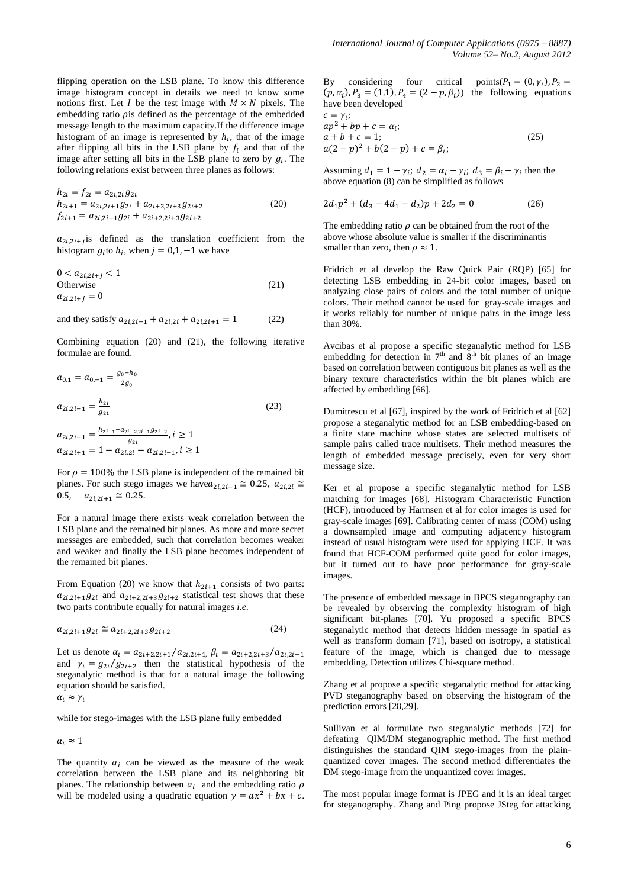flipping operation on the LSB plane. To know this difference image histogram concept in details we need to know some notions first. Let I be the test image with  $M \times N$  pixels. The embedding ratio  $\rho$  is defined as the percentage of the embedded message length to the maximum capacity.If the difference image histogram of an image is represented by  $h_i$ , that of the image after flipping all bits in the LSB plane by  $f_i$  and that of the image after setting all bits in the LSB plane to zero by  $g_i$ . The following relations exist between three planes as follows:

$$
h_{2i} = f_{2i} = a_{2i,2i}g_{2i}
$$
  
\n
$$
h_{2i+1} = a_{2i,2i+1}g_{2i} + a_{2i+2,2i+3}g_{2i+2}
$$
  
\n
$$
f_{2i+1} = a_{2i,2i-1}g_{2i} + a_{2i+2,2i+3}g_{2i+2}
$$
\n(20)

 $a_{2i,2i+j}$  is defined as the translation coefficient from the histogram  $g_i$ to  $h_i$ , when  $j = 0, 1, -1$  we have

$$
0 < a_{2i,2i+j} < 1
$$
\nOtherwise

\n
$$
a_{2i,2i+j} = 0
$$
\n(21)

and they satisfy  $a_{2i,2i-1} + a_{2i,2i} + a_{2i,2i+1} = 1$  (22)

Combining equation (20) and (21), the following iterative formulae are found.

$$
a_{0,1} = a_{0,-1} = \frac{g_0 - h_0}{2g_0}
$$
  
\n
$$
a_{2i,2i-1} = \frac{h_{2i}}{g_{21}}
$$
  
\n
$$
a_{2i,2i-1} = \frac{h_{2i-1} - a_{2i-2,2i-1}g_{2i-2}}{g_{2i}}, i \ge 1
$$
  
\n
$$
a_{2i,2i+1} = 1 - a_{2i,2i} - a_{2i,2i-1}, i \ge 1
$$
  
\n(23)

For  $\rho = 100\%$  the LSB plane is independent of the remained bit planes. For such stego images we have  $a_{2i,2i-1} \approx 0.25$ ,  $a_{2i,2i} \approx$ 0.5,  $a_{2i\,2i+1} \approx 0.25$ .

For a natural image there exists weak correlation between the LSB plane and the remained bit planes. As more and more secret messages are embedded, such that correlation becomes weaker and weaker and finally the LSB plane becomes independent of the remained bit planes.

From Equation (20) we know that  $h_{2i+1}$  consists of two parts:  $a_{2i,2i+1}g_{2i}$  and  $a_{2i+2,2i+3}g_{2i+2}$  statistical test shows that these two parts contribute equally for natural images *i.e*.

$$
a_{2i,2i+1}g_{2i} \cong a_{2i+2,2i+3}g_{2i+2} \tag{24}
$$

Let us denote  $\alpha_i = a_{2i+2,2i+1}/a_{2i,2i+1}$ ,  $\beta_i = a_{2i+2,2i+3}/a_{2i,2i-1}$ and  $\gamma_i = g_{2i}/g_{2i+2}$  then the statistical hypothesis of the steganalytic method is that for a natural image the following equation should be satisfied.

$$
\alpha_i \approx \gamma_i
$$

while for stego-images with the LSB plane fully embedded

 $\alpha_i \approx 1$ 

The quantity  $\alpha_i$  can be viewed as the measure of the weak correlation between the LSB plane and its neighboring bit planes. The relationship between  $\alpha_i$  and the embedding ratio will be modeled using a quadratic equation  $y = ax^2 + bx + c$ .

By considering four critical points( $P_1 = (0, \gamma_i)$ ,  $P_2 =$  $(p, \alpha_i)$ ,  $P_3 = (1, 1)$ ,  $P_4 = (2 - p, \beta_i)$  the following equations have been developed

$$
c = \gamma_i; ap2 + bp + c = \alpha_i; a + b + c = 1; a(2 - p)2 + b(2 - p) + c = \beta_i; (25)
$$

Assuming  $d_1 = 1 - \gamma_i$ ;  $d_2 = \alpha_i - \gamma_i$ ;  $d_3 = \beta_i - \gamma_i$  then the above equation (8) can be simplified as follows

$$
2d_1p^2 + (d_3 - 4d_1 - d_2)p + 2d_2 = 0 \tag{26}
$$

The embedding ratio  $\rho$  can be obtained from the root of the above whose absolute value is smaller if the discriminantis smaller than zero, then  $\rho \approx 1$ .

Fridrich et al develop the Raw Quick Pair (RQP) [65] for detecting LSB embedding in 24-bit color images, based on analyzing close pairs of colors and the total number of unique colors. Their method cannot be used for gray-scale images and it works reliably for number of unique pairs in the image less than 30%.

Avcibas et al propose a specific steganalytic method for LSB embedding for detection in  $7<sup>th</sup>$  and  $8<sup>th</sup>$  bit planes of an image based on correlation between contiguous bit planes as well as the binary texture characteristics within the bit planes which are affected by embedding [66].

Dumitrescu et al [67], inspired by the work of Fridrich et al [62] propose a steganalytic method for an LSB embedding-based on a finite state machine whose states are selected multisets of sample pairs called trace multisets. Their method measures the length of embedded message precisely, even for very short message size.

Ker et al propose a specific steganalytic method for LSB matching for images [68]. Histogram Characteristic Function (HCF), introduced by Harmsen et al for color images is used for gray-scale images [69]. Calibrating center of mass (COM) using a downsampled image and computing adjacency histogram instead of usual histogram were used for applying HCF. It was found that HCF-COM performed quite good for color images, but it turned out to have poor performance for gray-scale images.

The presence of embedded message in BPCS steganography can be revealed by observing the complexity histogram of high significant bit-planes [70]. Yu proposed a specific BPCS steganalytic method that detects hidden message in spatial as well as transform domain [71], based on isotropy, a statistical feature of the image, which is changed due to message embedding. Detection utilizes Chi-square method.

Zhang et al propose a specific steganalytic method for attacking PVD steganography based on observing the histogram of the prediction errors [28,29].

Sullivan et al formulate two steganalytic methods [72] for defeating QIM/DM steganographic method. The first method distinguishes the standard QIM stego-images from the plainquantized cover images. The second method differentiates the DM stego-image from the unquantized cover images.

The most popular image format is JPEG and it is an ideal target for steganography. Zhang and Ping propose JSteg for attacking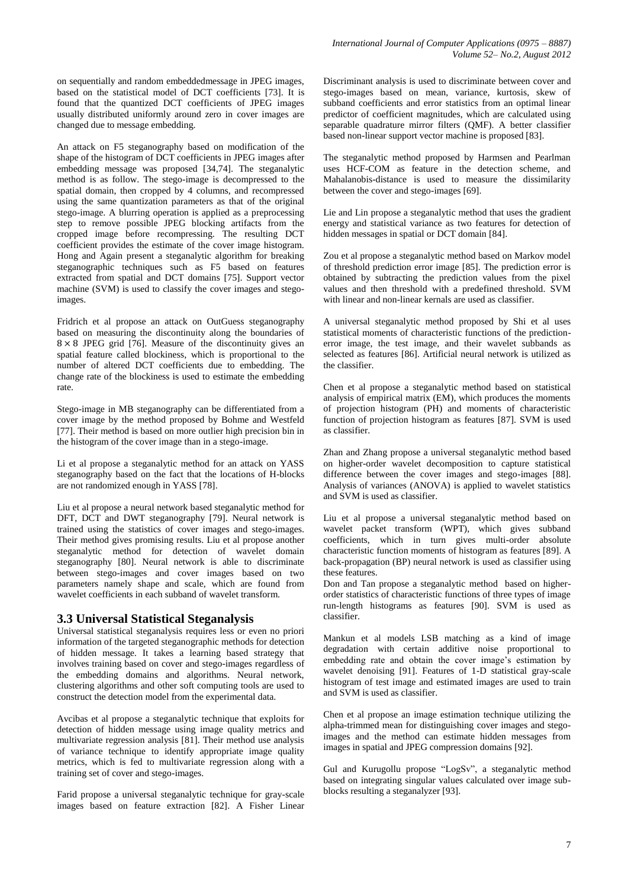on sequentially and random embeddedmessage in JPEG images, based on the statistical model of DCT coefficients [73]. It is found that the quantized DCT coefficients of JPEG images usually distributed uniformly around zero in cover images are changed due to message embedding.

An attack on F5 steganography based on modification of the shape of the histogram of DCT coefficients in JPEG images after embedding message was proposed [34,74]. The steganalytic method is as follow. The stego-image is decompressed to the spatial domain, then cropped by 4 columns, and recompressed using the same quantization parameters as that of the original stego-image. A blurring operation is applied as a preprocessing step to remove possible JPEG blocking artifacts from the cropped image before recompressing. The resulting DCT coefficient provides the estimate of the cover image histogram. Hong and Again present a steganalytic algorithm for breaking steganographic techniques such as F5 based on features extracted from spatial and DCT domains [75]. Support vector machine (SVM) is used to classify the cover images and stegoimages.

Fridrich et al propose an attack on OutGuess steganography based on measuring the discontinuity along the boundaries of  $8 \times 8$  JPEG grid [76]. Measure of the discontinuity gives an spatial feature called blockiness, which is proportional to the number of altered DCT coefficients due to embedding. The change rate of the blockiness is used to estimate the embedding rate.

Stego-image in MB steganography can be differentiated from a cover image by the method proposed by Bohme and Westfeld [77]. Their method is based on more outlier high precision bin in the histogram of the cover image than in a stego-image.

Li et al propose a steganalytic method for an attack on YASS steganography based on the fact that the locations of H-blocks are not randomized enough in YASS [78].

Liu et al propose a neural network based steganalytic method for DFT, DCT and DWT steganography [79]. Neural network is trained using the statistics of cover images and stego-images. Their method gives promising results. Liu et al propose another steganalytic method for detection of wavelet domain steganography [80]. Neural network is able to discriminate between stego-images and cover images based on two parameters namely shape and scale, which are found from wavelet coefficients in each subband of wavelet transform.

#### **3.3 Universal Statistical Steganalysis**

Universal statistical steganalysis requires less or even no priori information of the targeted steganographic methods for detection of hidden message. It takes a learning based strategy that involves training based on cover and stego-images regardless of the embedding domains and algorithms. Neural network, clustering algorithms and other soft computing tools are used to construct the detection model from the experimental data.

Avcibas et al propose a steganalytic technique that exploits for detection of hidden message using image quality metrics and multivariate regression analysis [81]. Their method use analysis of variance technique to identify appropriate image quality metrics, which is fed to multivariate regression along with a training set of cover and stego-images.

Farid propose a universal steganalytic technique for gray-scale images based on feature extraction [82]. A Fisher Linear

Discriminant analysis is used to discriminate between cover and stego-images based on mean, variance, kurtosis, skew of subband coefficients and error statistics from an optimal linear predictor of coefficient magnitudes, which are calculated using separable quadrature mirror filters (OMF). A better classifier based non-linear support vector machine is proposed [83].

The steganalytic method proposed by Harmsen and Pearlman uses HCF-COM as feature in the detection scheme, and Mahalanobis-distance is used to measure the dissimilarity between the cover and stego-images [69].

Lie and Lin propose a steganalytic method that uses the gradient energy and statistical variance as two features for detection of hidden messages in spatial or DCT domain [84].

Zou et al propose a steganalytic method based on Markov model of threshold prediction error image [85]. The prediction error is obtained by subtracting the prediction values from the pixel values and then threshold with a predefined threshold. SVM with linear and non-linear kernals are used as classifier.

A universal steganalytic method proposed by Shi et al uses statistical moments of characteristic functions of the predictionerror image, the test image, and their wavelet subbands as selected as features [86]. Artificial neural network is utilized as the classifier.

Chen et al propose a steganalytic method based on statistical analysis of empirical matrix (EM), which produces the moments of projection histogram (PH) and moments of characteristic function of projection histogram as features [87]. SVM is used as classifier.

Zhan and Zhang propose a universal steganalytic method based on higher-order wavelet decomposition to capture statistical difference between the cover images and stego-images [88]. Analysis of variances (ANOVA) is applied to wavelet statistics and SVM is used as classifier.

Liu et al propose a universal steganalytic method based on wavelet packet transform (WPT), which gives subband coefficients, which in turn gives multi-order absolute characteristic function moments of histogram as features [89]. A back-propagation (BP) neural network is used as classifier using these features.

Don and Tan propose a steganalytic method based on higherorder statistics of characteristic functions of three types of image run-length histograms as features [90]. SVM is used as classifier.

Mankun et al models LSB matching as a kind of image degradation with certain additive noise proportional to embedding rate and obtain the cover image's estimation by wavelet denoising [91]. Features of 1-D statistical gray-scale histogram of test image and estimated images are used to train and SVM is used as classifier.

Chen et al propose an image estimation technique utilizing the alpha-trimmed mean for distinguishing cover images and stegoimages and the method can estimate hidden messages from images in spatial and JPEG compression domains [92].

Gul and Kurugollu propose "LogSv", a steganalytic method based on integrating singular values calculated over image subblocks resulting a steganalyzer [93].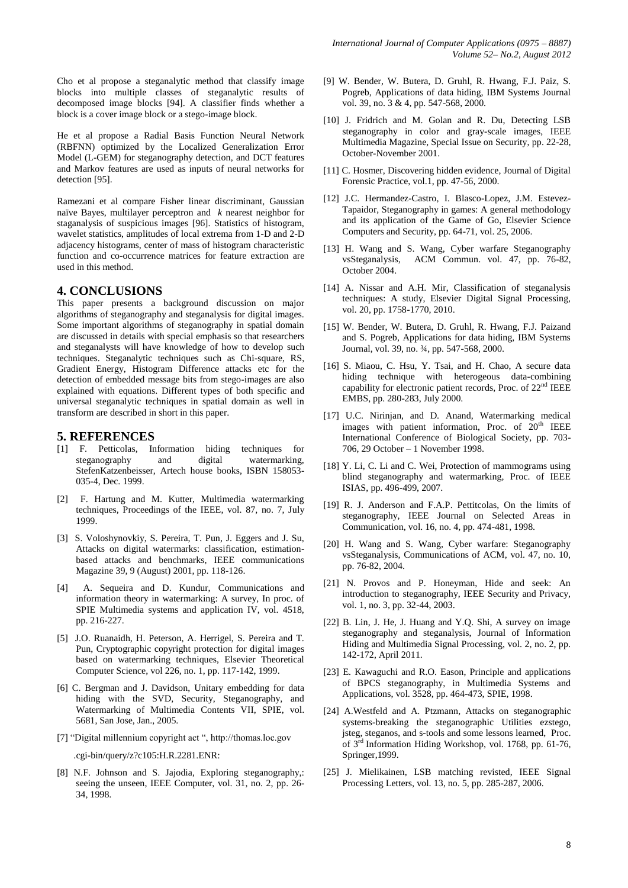Cho et al propose a steganalytic method that classify image blocks into multiple classes of steganalytic results of decomposed image blocks [94]. A classifier finds whether a block is a cover image block or a stego-image block.

He et al propose a Radial Basis Function Neural Network (RBFNN) optimized by the Localized Generalization Error Model (L-GEM) for steganography detection, and DCT features and Markov features are used as inputs of neural networks for detection [95].

Ramezani et al compare Fisher linear discriminant, Gaussian naïve Bayes, multilayer perceptron and *k* nearest neighbor for staganalysis of suspicious images [96]. Statistics of histogram, wavelet statistics, amplitudes of local extrema from 1-D and 2-D adjacency histograms, center of mass of histogram characteristic function and co-occurrence matrices for feature extraction are used in this method.

#### **4. CONCLUSIONS**

This paper presents a background discussion on major algorithms of steganography and steganalysis for digital images. Some important algorithms of steganography in spatial domain are discussed in details with special emphasis so that researchers and steganalysts will have knowledge of how to develop such techniques. Steganalytic techniques such as Chi-square, RS, Gradient Energy, Histogram Difference attacks etc for the detection of embedded message bits from stego-images are also explained with equations. Different types of both specific and universal steganalytic techniques in spatial domain as well in transform are described in short in this paper.

#### **5. REFERENCES**

- [1] F. Petticolas, Information hiding techniques for steganography and digital watermarking, StefenKatzenbeisser, Artech house books, ISBN 158053- 035-4, Dec. 1999.
- [2] F. Hartung and M. Kutter, Multimedia watermarking techniques, Proceedings of the IEEE, vol. 87, no. 7, July 1999.
- [3] S. Voloshynovkiy, S. Pereira, T. Pun, J. Eggers and J. Su, Attacks on digital watermarks: classification, estimationbased attacks and benchmarks, IEEE communications Magazine 39, 9 (August) 2001, pp. 118-126.
- A. Sequeira and D. Kundur, Communications and information theory in watermarking: A survey, In proc. of SPIE Multimedia systems and application IV, vol. 4518, pp. 216-227.
- [5] J.O. Ruanaidh, H. Peterson, A. Herrigel, S. Pereira and T. Pun, Cryptographic copyright protection for digital images based on watermarking techniques, Elsevier Theoretical Computer Science, vol 226, no. 1, pp. 117-142, 1999.
- [6] C. Bergman and J. Davidson, Unitary embedding for data hiding with the SVD, Security, Steganography, and Watermarking of Multimedia Contents VII, SPIE, vol. 5681, San Jose, Jan., 2005.
- [7] "Digital millennium copyright act ", http://thomas.loc.gov

.cgi-bin/query/z?c105:H.R.2281.ENR:

[8] N.F. Johnson and S. Jajodia, Exploring steganography,: seeing the unseen, IEEE Computer, vol. 31, no. 2, pp. 26- 34, 1998.

- [9] W. Bender, W. Butera, D. Gruhl, R. Hwang, F.J. Paiz, S. Pogreb, Applications of data hiding, IBM Systems Journal vol. 39, no. 3 & 4, pp. 547-568, 2000.
- [10] J. Fridrich and M. Golan and R. Du, Detecting LSB steganography in color and gray-scale images, IEEE Multimedia Magazine, Special Issue on Security, pp. 22-28, October-November 2001.
- [11] C. Hosmer, Discovering hidden evidence, Journal of Digital Forensic Practice, vol.1, pp. 47-56, 2000.
- [12] J.C. Hermandez-Castro, I. Blasco-Lopez, J.M. Estevez-Tapaidor, Steganography in games: A general methodology and its application of the Game of Go, Elsevier Science Computers and Security, pp. 64-71, vol. 25, 2006.
- [13] H. Wang and S. Wang, Cyber warfare Steganography vsSteganalysis, ACM Commun. vol. 47, pp. 76-82, October 2004.
- [14] A. Nissar and A.H. Mir, Classification of steganalysis techniques: A study, Elsevier Digital Signal Processing, vol. 20, pp. 1758-1770, 2010.
- [15] W. Bender, W. Butera, D. Gruhl, R. Hwang, F.J. Paizand and S. Pogreb, Applications for data hiding, IBM Systems Journal, vol. 39, no. ¾, pp. 547-568, 2000.
- [16] S. Miaou, C. Hsu, Y. Tsai, and H. Chao, A secure data hiding technique with heterogeous data-combining capability for electronic patient records, Proc. of 22<sup>nd</sup> IEEE EMBS, pp. 280-283, July 2000.
- [17] U.C. Nirinjan, and D. Anand, Watermarking medical images with patient information, Proc. of  $20<sup>th</sup>$  IEEE International Conference of Biological Society, pp. 703- 706, 29 October – 1 November 1998.
- [18] Y. Li, C. Li and C. Wei, Protection of mammograms using blind steganography and watermarking, Proc. of IEEE ISIAS, pp. 496-499, 2007.
- [19] R. J. Anderson and F.A.P. Pettitcolas, On the limits of steganography, IEEE Journal on Selected Areas in Communication, vol. 16, no. 4, pp. 474-481, 1998.
- [20] H. Wang and S. Wang, Cyber warfare: Steganography vsSteganalysis, Communications of ACM, vol. 47, no. 10, pp. 76-82, 2004.
- [21] N. Provos and P. Honeyman, Hide and seek: An introduction to steganography, IEEE Security and Privacy, vol. 1, no. 3, pp. 32-44, 2003.
- [22] B. Lin, J. He, J. Huang and Y.Q. Shi, A survey on image steganography and steganalysis, Journal of Information Hiding and Multimedia Signal Processing, vol. 2, no. 2, pp. 142-172, April 2011.
- [23] E. Kawaguchi and R.O. Eason, Principle and applications of BPCS steganography, in Multimedia Systems and Applications, vol. 3528, pp. 464-473, SPIE, 1998.
- [24] A.Westfeld and A. Ptzmann, Attacks on steganographic systems-breaking the steganographic Utilities ezstego, jsteg, steganos, and s-tools and some lessons learned, Proc. of 3<sup>rd</sup> Information Hiding Workshop, vol. 1768, pp. 61-76, Springer,1999.
- [25] J. Mielikainen, LSB matching revisted, IEEE Signal Processing Letters, vol. 13, no. 5, pp. 285-287, 2006.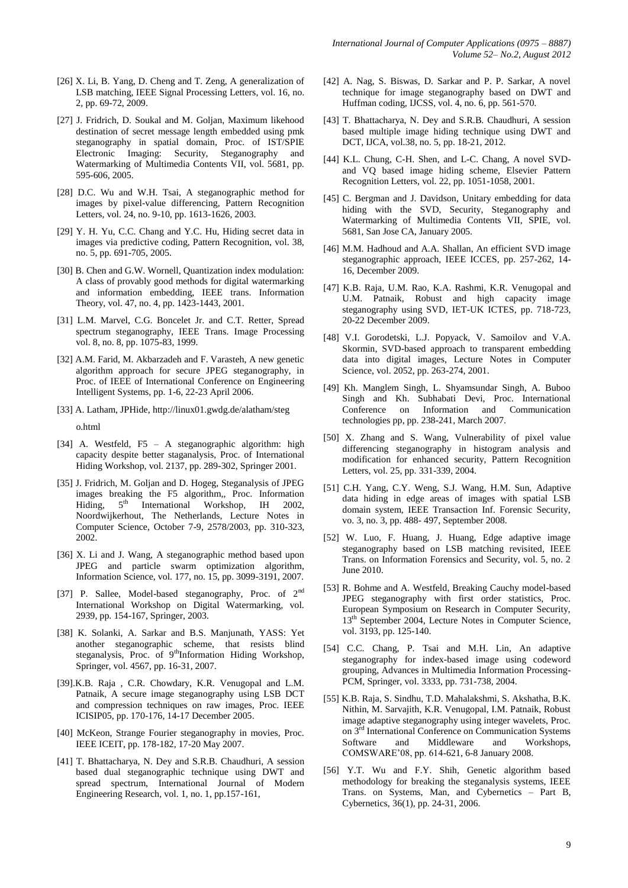- [26] X. Li, B. Yang, D. Cheng and T. Zeng, A generalization of LSB matching, IEEE Signal Processing Letters, vol. 16, no. 2, pp. 69-72, 2009.
- [27] J. Fridrich, D. Soukal and M. Goljan, Maximum likehood destination of secret message length embedded using pmk steganography in spatial domain, Proc. of IST/SPIE Electronic Imaging: Security, Steganography and Watermarking of Multimedia Contents VII, vol. 5681, pp. 595-606, 2005.
- [28] D.C. Wu and W.H. Tsai, A steganographic method for images by pixel-value differencing, Pattern Recognition Letters, vol. 24, no. 9-10, pp. 1613-1626, 2003.
- [29] Y. H. Yu, C.C. Chang and Y.C. Hu, Hiding secret data in images via predictive coding, Pattern Recognition, vol. 38, no. 5, pp. 691-705, 2005.
- [30] B. Chen and G.W. Wornell, Quantization index modulation: A class of provably good methods for digital watermarking and information embedding, IEEE trans. Information Theory, vol. 47, no. 4, pp. 1423-1443, 2001.
- [31] L.M. Marvel, C.G. Boncelet Jr. and C.T. Retter, Spread spectrum steganography, IEEE Trans. Image Processing vol. 8, no. 8, pp. 1075-83, 1999.
- [32] A.M. Farid, M. Akbarzadeh and F. Varasteh, A new genetic algorithm approach for secure JPEG steganography, in Proc. of IEEE of International Conference on Engineering Intelligent Systems, pp. 1-6, 22-23 April 2006.
- [33] A. Latham, JPHide[, http://linux01.gwdg.de/alatham/steg](http://linux01.gwdg.de/alatham/steg)

o.html

- [34] A. Westfeld, F5 A steganographic algorithm: high capacity despite better staganalysis, Proc. of International Hiding Workshop, vol. 2137, pp. 289-302, Springer 2001.
- [35] J. Fridrich, M. Goljan and D. Hogeg, Steganalysis of JPEG images breaking the F5 algorithm, Proc. Information Hiding,  $5^{th}$  International Workshop, IH 2002, Hiding,  $5<sup>th</sup>$  International Workshop, IH 2002, Noordwijkerhout, The Netherlands, Lecture Notes in Computer Science, October 7-9, 2578/2003, pp. 310-323, 2002.
- [36] X. Li and J. Wang, A steganographic method based upon JPEG and particle swarm optimization algorithm, Information Science, vol. 177, no. 15, pp. 3099-3191, 2007.
- [37] P. Sallee, Model-based steganography, Proc. of 2<sup>nd</sup> International Workshop on Digital Watermarking, vol. 2939, pp. 154-167, Springer, 2003.
- [38] K. Solanki, A. Sarkar and B.S. Manjunath, YASS: Yet another steganographic scheme, that resists blind steganalysis, Proc. of  $9<sup>th</sup>$ Information Hiding Workshop, Springer, vol. 4567, pp. 16-31, 2007.
- [39].K.B. Raja , C.R. Chowdary, K.R. Venugopal and L.M. Patnaik, A secure image steganography using LSB DCT and compression techniques on raw images, Proc. IEEE ICISIP05, pp. 170-176, 14-17 December 2005.
- [40] McKeon, Strange Fourier steganography in movies, Proc. IEEE ICEIT, pp. 178-182, 17-20 May 2007.
- [41] T. Bhattacharya, N. Dey and S.R.B. Chaudhuri, A session based dual steganographic technique using DWT and spread spectrum, International Journal of Modern Engineering Research, vol. 1, no. 1, pp.157-161,
- [42] A. Nag, S. Biswas, D. Sarkar and P. P. Sarkar, A novel technique for image steganography based on DWT and Huffman coding, IJCSS, vol. 4, no. 6, pp. 561-570.
- [43] T. Bhattacharya, N. Dey and S.R.B. Chaudhuri, A session based multiple image hiding technique using DWT and DCT, IJCA, vol.38, no. 5, pp. 18-21, 2012.
- [44] K.L. Chung, C-H. Shen, and L-C. Chang, A novel SVDand VQ based image hiding scheme, Elsevier Pattern Recognition Letters, vol. 22, pp. 1051-1058, 2001.
- [45] C. Bergman and J. Davidson, Unitary embedding for data hiding with the SVD, Security, Steganography and Watermarking of Multimedia Contents VII, SPIE, vol. 5681, San Jose CA, January 2005.
- [46] M.M. Hadhoud and A.A. Shallan, An efficient SVD image steganographic approach, IEEE ICCES, pp. 257-262, 14- 16, December 2009.
- [47] K.B. Raja, U.M. Rao, K.A. Rashmi, K.R. Venugopal and U.M. Patnaik, Robust and high capacity image steganography using SVD, IET-UK ICTES, pp. 718-723, 20-22 December 2009.
- [48] V.I. Gorodetski, L.J. Popyack, V. Samoilov and V.A. Skormin, SVD-based approach to transparent embedding data into digital images, Lecture Notes in Computer Science, vol. 2052, pp. 263-274, 2001.
- [49] Kh. Manglem Singh, L. Shyamsundar Singh, A. Buboo Singh and Kh. Subhabati Devi, Proc. International Conference on Information and Communication technologies pp, pp. 238-241, March 2007.
- [50] X. Zhang and S. Wang, Vulnerability of pixel value differencing steganography in histogram analysis and modification for enhanced security, Pattern Recognition Letters, vol. 25, pp. 331-339, 2004.
- [51] C.H. Yang, C.Y. Weng, S.J. Wang, H.M. Sun, Adaptive data hiding in edge areas of images with spatial LSB domain system, IEEE Transaction Inf. Forensic Security, vo. 3, no. 3, pp. 488- 497, September 2008.
- [52] W. Luo, F. Huang, J. Huang, Edge adaptive image steganography based on LSB matching revisited, IEEE Trans. on Information Forensics and Security, vol. 5, no. 2 June 2010.
- [53] R. Bohme and A. Westfeld, Breaking Cauchy model-based JPEG steganography with first order statistics, Proc. European Symposium on Research in Computer Security, 13th September 2004, Lecture Notes in Computer Science, vol. 3193, pp. 125-140.
- [54] C.C. Chang, P. Tsai and M.H. Lin, An adaptive steganography for index-based image using codeword grouping, Advances in Multimedia Information Processing-PCM, Springer, vol. 3333, pp. 731-738, 2004.
- [55] K.B. Raja, S. Sindhu, T.D. Mahalakshmi, S. Akshatha, B.K. Nithin, M. Sarvajith, K.R. Venugopal, I.M. Patnaik, Robust image adaptive steganography using integer wavelets, Proc. on 3rd International Conference on Communication Systems Software and Middleware and Workshops, COMSWARE'08, pp. 614-621, 6-8 January 2008.
- [56] Y.T. Wu and F.Y. Shih, Genetic algorithm based methodology for breaking the steganalysis systems, IEEE Trans. on Systems, Man, and Cybernetics – Part B, Cybernetics, 36(1), pp. 24-31, 2006.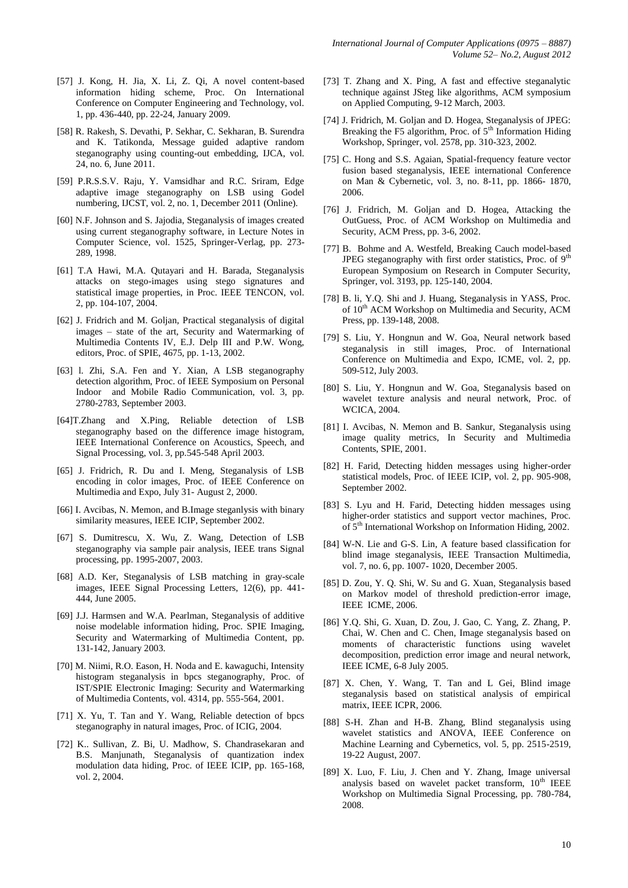- [57] J. Kong, H. Jia, X. Li, Z. Qi, A novel content-based information hiding scheme, Proc. On International Conference on Computer Engineering and Technology, vol. 1, pp. 436-440, pp. 22-24, January 2009.
- [58] R. Rakesh, S. Devathi, P. Sekhar, C. Sekharan, B. Surendra and K. Tatikonda, Message guided adaptive random steganography using counting-out embedding, IJCA, vol. 24, no. 6, June 2011.
- [59] P.R.S.S.V. Raju, Y. Vamsidhar and R.C. Sriram, Edge adaptive image steganography on LSB using Godel numbering, IJCST, vol. 2, no. 1, December 2011 (Online).
- [60] N.F. Johnson and S. Jajodia, Steganalysis of images created using current steganography software, in Lecture Notes in Computer Science, vol. 1525, Springer-Verlag, pp. 273- 289, 1998.
- [61] T.A Hawi, M.A. Qutayari and H. Barada, Steganalysis attacks on stego-images using stego signatures and statistical image properties, in Proc. IEEE TENCON, vol. 2, pp. 104-107, 2004.
- [62] J. Fridrich and M. Goljan, Practical steganalysis of digital images – state of the art, Security and Watermarking of Multimedia Contents IV, E.J. Delp III and P.W. Wong, editors, Proc. of SPIE, 4675, pp. 1-13, 2002.
- [63] l. Zhi, S.A. Fen and Y. Xian, A LSB steganography detection algorithm, Proc. of IEEE Symposium on Personal Indoor and Mobile Radio Communication, vol. 3, pp. 2780-2783, September 2003.
- [64]T.Zhang and X.Ping, Reliable detection of LSB steganography based on the difference image histogram, IEEE International Conference on Acoustics, Speech, and Signal Processing, vol. 3, pp.545-548 April 2003.
- [65] J. Fridrich, R. Du and I. Meng, Steganalysis of LSB encoding in color images, Proc. of IEEE Conference on Multimedia and Expo, July 31- August 2, 2000.
- [66] I. Avcibas, N. Memon, and B. Image steganlysis with binary similarity measures, IEEE ICIP, September 2002.
- [67] S. Dumitrescu, X. Wu, Z. Wang, Detection of LSB steganography via sample pair analysis, IEEE trans Signal processing, pp. 1995-2007, 2003.
- [68] A.D. Ker, Steganalysis of LSB matching in gray-scale images, IEEE Signal Processing Letters, 12(6), pp. 441- 444, June 2005.
- [69] J.J. Harmsen and W.A. Pearlman, Steganalysis of additive noise modelable information hiding, Proc. SPIE Imaging, Security and Watermarking of Multimedia Content, pp. 131-142, January 2003.
- [70] M. Niimi, R.O. Eason, H. Noda and E. kawaguchi, Intensity histogram steganalysis in bpcs steganography, Proc. of IST/SPIE Electronic Imaging: Security and Watermarking of Multimedia Contents, vol. 4314, pp. 555-564, 2001.
- [71] X. Yu, T. Tan and Y. Wang, Reliable detection of bpcs steganography in natural images, Proc. of ICIG, 2004.
- [72] K.. Sullivan, Z. Bi, U. Madhow, S. Chandrasekaran and B.S. Manjunath, Steganalysis of quantization index modulation data hiding, Proc. of IEEE ICIP, pp. 165-168, vol. 2, 2004.
- [73] T. Zhang and X. Ping, A fast and effective steganalytic technique against JSteg like algorithms, ACM symposium on Applied Computing, 9-12 March, 2003.
- [74] J. Fridrich, M. Goljan and D. Hogea, Steganalysis of JPEG: Breaking the F5 algorithm, Proc. of  $5<sup>th</sup>$  Information Hiding Workshop, Springer, vol. 2578, pp. 310-323, 2002.
- [75] C. Hong and S.S. Agaian, Spatial-frequency feature vector fusion based steganalysis, IEEE international Conference on Man & Cybernetic, vol. 3, no. 8-11, pp. 1866- 1870, 2006.
- [76] J. Fridrich, M. Goljan and D. Hogea, Attacking the OutGuess, Proc. of ACM Workshop on Multimedia and Security, ACM Press, pp. 3-6, 2002.
- [77] B. Bohme and A. Westfeld, Breaking Cauch model-based JPEG steganography with first order statistics, Proc. of 9<sup>th</sup> European Symposium on Research in Computer Security, Springer, vol. 3193, pp. 125-140, 2004.
- [78] B. li, Y.Q. Shi and J. Huang, Steganalysis in YASS, Proc. of  $10^{th}$  ACM Workshop on Multimedia and Security, ACM Press, pp. 139-148, 2008.
- [79] S. Liu, Y. Hongnun and W. Goa, Neural network based steganalysis in still images, Proc. of International Conference on Multimedia and Expo, ICME, vol. 2, pp. 509-512, July 2003.
- [80] S. Liu, Y. Hongnun and W. Goa, Steganalysis based on wavelet texture analysis and neural network, Proc. of WCICA, 2004.
- [81] I. Avcibas, N. Memon and B. Sankur, Steganalysis using image quality metrics, In Security and Multimedia Contents, SPIE, 2001.
- [82] H. Farid, Detecting hidden messages using higher-order statistical models, Proc. of IEEE ICIP, vol. 2, pp. 905-908, September 2002.
- [83] S. Lyu and H. Farid, Detecting hidden messages using higher-order statistics and support vector machines, Proc. of 5th International Workshop on Information Hiding, 2002.
- [84] W-N. Lie and G-S. Lin, A feature based classification for blind image steganalysis, IEEE Transaction Multimedia, vol. 7, no. 6, pp. 1007- 1020, December 2005.
- [85] D. Zou, Y. Q. Shi, W. Su and G. Xuan, Steganalysis based on Markov model of threshold prediction-error image, IEEE ICME, 2006.
- [86] Y.Q. Shi, G. Xuan, D. Zou, J. Gao, C. Yang, Z. Zhang, P. Chai, W. Chen and C. Chen, Image steganalysis based on moments of characteristic functions using wavelet decomposition, prediction error image and neural network, IEEE ICME, 6-8 July 2005.
- [87] X. Chen, Y. Wang, T. Tan and L Gei, Blind image steganalysis based on statistical analysis of empirical matrix, IEEE ICPR, 2006.
- [88] S-H. Zhan and H-B. Zhang, Blind steganalysis using wavelet statistics and ANOVA, IEEE Conference on Machine Learning and Cybernetics, vol. 5, pp. 2515-2519, 19-22 August, 2007.
- [89] X. Luo, F. Liu, J. Chen and Y. Zhang, Image universal analysis based on wavelet packet transform,  $10<sup>th</sup>$  IEEE Workshop on Multimedia Signal Processing, pp. 780-784, 2008.